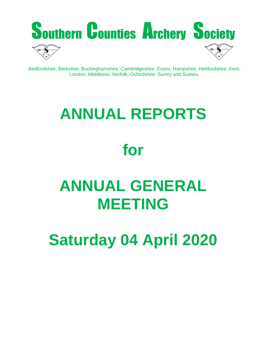

Bedfordshire, Berkshire, Buckinghamshire, Cambridgeshire, Essex, Hampshire, Hertfordshire, Kent, London, Middlesex, Norfolk, Oxfordshire, Surrey and Sussex.

# **ANNUAL REPORTS**

# **for**

# **ANNUAL GENERAL MEETING**

**Saturday 04 April 2020**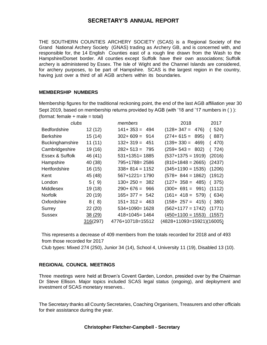## **SECRETARY'S ANNUAL REPORT**

THE SOUTHERN COUNTIES ARCHERY SOCIETY (SCAS) is a Regional Society of the Grand National Archery Society (GNAS) trading as Archery GB, and is concerned with, and responsible for, the 14 English Counties east of a rough line drawn from the Wash to the Hampshire/Dorset border. All counties except Suffolk have their own associations; Suffolk archery is administered by Essex. The Isle of Wight and the Channel Islands are considered, for archery purposes, to be part of Hampshire. SCAS is the largest region in the country, having just over a third of all AGB archers within its boundaries.

#### **MEMBERSHIP NUMBERS**

Membership figures for the traditional reckoning point, the end of the last AGB affiliation year 30 Sept 2019, based on membership returns provided by AGB (with '18 and '17 numbers in ( ) ): (format: female + male = total)

| clubs                  |          | members              | 2018                              | 2017   |
|------------------------|----------|----------------------|-----------------------------------|--------|
| <b>Bedfordshire</b>    | 12(12)   | $141 + 353 = 494$    | $(128 + 347 = 476)$               | (524)  |
| <b>Berkshire</b>       | 15(14)   | $302+609 = 914$      | $(274+615=895)$                   | 887)   |
| <b>Buckinghamshire</b> | 11(11)   | $132 + 319 =$<br>451 | $(139+330=469)$                   | 470)   |
| Cambridgeshire         | 19 (16)  | $282+513=795$        | $(259 + 543 = 802)$               | (724)  |
| Essex & Suffolk        | 46 (41)  | $531+1351=1885$      | $(537+1375=1919)$                 | (2016) |
| Hampshire              | 40 (38)  | 795+1788=2586        | $(810+1848=2665)$                 | (2437) |
| Hertfordshire          | 16(15)   | $338+814=1152$       | $(345+1190=1535)$                 | (1206) |
| Kent                   | 45 (48)  | $567+1221=1790$      | $(578 + 844 = 1862)$              | (1912) |
| London                 | 5(9)     | $130+250=382$        | $(127+ 358 = 485)$                | (375)  |
| Middlesex              | 19 (18)  | $290+676=966$        | $(300+ 691 = 991)$ $(1112)$       |        |
| <b>Norfolk</b>         | 20(19)   | $165 + 377 = 542$    | $(161 + 418 = 579)$               | 634)   |
| Oxfordshire            | 8(8)     | $151 + 312 = 463$    | $(158 + 257 = 415)$               | 380)   |
| Surrey                 | 22(20)   | $534+1090=1628$      | $(562+1177=1742)$                 | (1771) |
| <b>Sussex</b>          | 38(29)   | $418+1045=1464$      | $(450+1100=1553)$                 | (1557) |
|                        | 316(297) | 4776+10718=15512     | (4828+11093=15921)(16005 <u>)</u> |        |

 This represents a decrease of 409 members from the totals recorded for 2018 and of 493 from those recorded for 2017

Club types: Mixed 274 (250), Junior 34 (14), School 4, University 11 (19), Disabled 13 (10).

#### **REGIONAL COUNCIL MEETINGS**

Three meetings were held at Brown's Covent Garden, London, presided over by the Chairman Dr Steve Ellison. Major topics included SCAS legal status (ongoing), and deployment and investment of SCAS monetary reserves..

The Secretary thanks all County Secretaries, Coaching Organisers, Treasurers and other officials for their assistance during the year.

#### **Christopher Fletcher-Campbell - Secretary**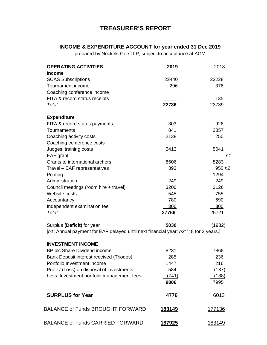# **TREASURER'S REPORT**

# **INCOME & EXPENDITURE ACCOUNT for year ended 31 Dec 2019**

prepared by Nockels Gee LLP; subject to acceptance at AGM

| <b>OPERATING ACTIVITIES</b>                                                          | 2019           | 2018           |
|--------------------------------------------------------------------------------------|----------------|----------------|
| <b>Income</b>                                                                        |                |                |
| <b>SCAS Subscriptions</b><br>Tournament income                                       | 22440<br>296   | 23228          |
|                                                                                      |                | 376            |
| Coaching conference income                                                           |                |                |
| FITA & record status receipts<br>Total                                               | 22736          | 135<br>23739   |
|                                                                                      |                |                |
| <b>Expenditure</b>                                                                   |                |                |
| FITA & record status payments                                                        | 303            | 926            |
| Tournaments                                                                          | 841            | 3857           |
| Coaching activity costs                                                              | 2138           | 250            |
| Coaching conference costs                                                            |                |                |
| Judges' training costs                                                               | 5413           | 5041           |
| EAF grant                                                                            |                | n1             |
| Grants to international archers                                                      | 8606           | 8283           |
| Travel - EAF representatives                                                         | 393            | 950 $n2$       |
| Printing                                                                             |                | 1294           |
| Administration                                                                       | 249            | 249            |
| Council meetings (room hire + travel)                                                | 3200           | 3126           |
| Website costs                                                                        | 545            | 755            |
| Accountancy                                                                          | 780            | 690            |
| Independent examination fee                                                          | 306            | 300            |
| Total                                                                                | 27766          | 25721          |
| Surplus (Deficit) for year                                                           | 5030           | (1982)         |
| [n1: Annual payment for EAF delayed until next financial year; n2: '18 for 3 years.] |                |                |
| <b>INVESTMENT INCOME</b>                                                             |                |                |
| BP plc Share Dividend income                                                         | 8231           | 7868           |
| Bank Deposit interest received (Triodos)                                             | 285            | 236            |
| Portfolio Investment income                                                          | 1447           | 216            |
| Profit / (Loss) on disposal of investments                                           | 584            | (137)          |
| Less: Investment portfolio management fees                                           | (741)          | (188)          |
|                                                                                      | 9806           | 7995           |
| <b>SURPLUS for Year</b>                                                              | 4776           | 6013           |
| <b>BALANCE of Funds BROUGHT FORWARD</b>                                              | <u> 183149</u> | 177136         |
| <b>BALANCE of Funds CARRIED FORWARD</b>                                              | <u> 187925</u> | <u> 183149</u> |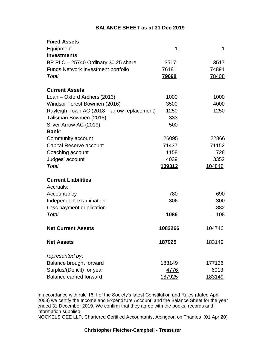## **BALANCE SHEET as at 31 Dec 2019**

| <b>Fixed Assets</b>                         |              |        |
|---------------------------------------------|--------------|--------|
| Equipment                                   | 1            | 1      |
| <b>Investments</b>                          |              |        |
| BP PLC $-$ 25740 Ordinary \$0.25 share      | 3517         | 3517   |
| <b>Funds Network Investment portfolio</b>   | 76181        | 74891  |
| Total                                       | <u>79698</u> | 78408  |
| <b>Current Assets</b>                       |              |        |
| Loan – Oxford Archers (2013)                | 1000         | 1000   |
| Windsor Forest Bowmen (2016)                | 3500         | 4000   |
| Rayleigh Town AC (2018 – arrow replacement) | 1250         | 1250   |
| Talisman Bowmen (2018)                      | 333          |        |
| Silver Arrow AC (2019)                      | 500          |        |
| <b>Bank:</b>                                |              |        |
| Community account                           | 26095        | 22866  |
| Capital Reserve account                     | 71437        | 71152  |
| Coaching account                            | 1158         | 728    |
| Judges' account                             | 4039         | 3352   |
| Total                                       | 109312       | 104848 |
| <b>Current Liabilities</b>                  |              |        |
| Accruals:                                   |              |        |
| Accountancy                                 | 780          | 690    |
| Independent examination                     | 306          | 300    |
| Less payment duplication                    |              | 882    |
| Total                                       | 1086         | 108    |
| <b>Net Current Assets</b>                   | 1082266      | 104740 |
| <b>Net Assets</b>                           | 187925       | 183149 |
| represented by:                             |              |        |
| Balance brought forward                     | 183149       | 177136 |
| Surplus/(Deficit) for year                  | 4776         | 6013   |
| <b>Balance carried forward</b>              | 187925       | 183149 |

In accordance with rule 16.1 of the Society's latest Constitution and Rules (dated April 2003) we certify the Income and Expenditure Account, and the Balance Sheet for the year ended 31 December 2019. We confirm that they agree with the books, records and information supplied.

NOCKELS GEE LLP, Chartered Certified Accountants, Abingdon on Thames (01 Apr 20)

#### **Christopher Fletcher-Campbell - Treasurer**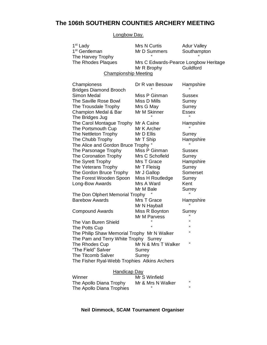# **The 106th SOUTHERN COUNTIES ARCHERY MEETING**

Longbow Day.

| 1 <sup>st</sup> Lady<br>1 <sup>st</sup> Gentleman<br>The Harvey Trophy | Mrs N Curtis<br>Mr D Summers                         | <b>Adur Valley</b><br>Southampton |
|------------------------------------------------------------------------|------------------------------------------------------|-----------------------------------|
| The Rhodes Plaques                                                     | Mrs C Edwards-Pearce Longbow Heritage<br>Mr R Brophy | Guildford                         |
| <b>Championship Meeting</b>                                            |                                                      |                                   |
| Championess<br><b>Bridges Diamond Brooch</b>                           | Dr R van Besouw                                      | Hampshire                         |
| <b>Simon Medal</b>                                                     | Miss P Ginman                                        | <b>Sussex</b>                     |
| The Saville Rose Bowl                                                  | Miss D Mills                                         | Surrey                            |
| The Trousdale Trophy                                                   | Mrs G May                                            | Surrey                            |
| Champion Medal & Bar<br>The Bridges Jug                                | Mr M Skinner                                         | <b>Essex</b>                      |
| The Carol Montague Trophy                                              | Mr A Caine                                           | Hampshire                         |
| The Portsmouth Cup                                                     | Mr K Archer                                          |                                   |
| The Nettleton Trophy                                                   | Mr D Ellis                                           | Surrey                            |
| The Chubb Trophy                                                       | Mr T Ship                                            | Hampshire                         |
| The Alice and Gordon Bruce Trophy "                                    |                                                      | "                                 |
| The Parsonage Trophy                                                   | Miss P Ginman                                        | <b>Sussex</b>                     |
| The Coronation Trophy                                                  | Mrs C Schofield                                      | Surrey                            |
| The Syrett Trophy                                                      | Mrs T Grace                                          | Hampshire                         |
| The Veterans Trophy                                                    | Mr T Fleisig                                         | Surrey                            |
| The Gordon Bruce Trophy                                                | Mr J Gallop                                          | Somerset                          |
| The Forest Wooden Spoon                                                | Miss H Routledge                                     | Surrey                            |
| Long-Bow Awards                                                        | Mrs A Ward                                           | Kent                              |
|                                                                        | Mr M Bale                                            | Surrey                            |
| The Don Olphert Memorial Trophy                                        |                                                      |                                   |
| <b>Barebow Awards</b>                                                  | Mrs T Grace<br>Mr N Hayball                          | Hampshire                         |
| <b>Compound Awards</b>                                                 | Miss R Boynton                                       | Surrey                            |
|                                                                        | Mr M Parvess                                         |                                   |
| The Van Buren Shield                                                   |                                                      | "                                 |
| The Potts Cup                                                          |                                                      | £                                 |
| The Philip Shaw Memorial Trophy Mr N Walker                            |                                                      | "                                 |
| The Pam and Terry White Trophy Surrey                                  |                                                      |                                   |
| The Rhodes Cup                                                         | Mr N & Mrs T Walker                                  | "                                 |
| "The Field" Salver                                                     | Surrey                                               |                                   |
| The Titcomb Salver                                                     | Surrey                                               |                                   |
| The Fisher Ryal-Webb Trophies Atkins Archers                           |                                                      |                                   |
| <b>Handicap Day</b>                                                    |                                                      |                                   |
| Winner                                                                 | Mr S Winfield                                        |                                   |
| The Apollo Diana Trophy                                                | Mr & Mrs N Walker                                    | "                                 |

The Apollo Diana Trophies " "

**Neil Dimmock, SCAM Tournament Organiser**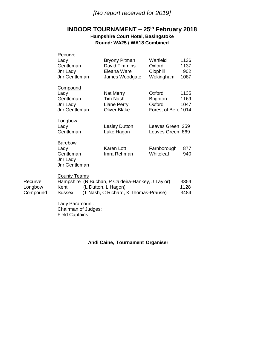# *[No report received for 2019]*

# **INDOOR TOURNAMENT – 25th February 2018**

## **Hampshire Court Hotel, Basingstoke Round: WA25 / WA18 Combined**

| Recurve<br>Lady<br>Gentleman<br>Jnr Lady<br>Jnr Gentleman                                                                    | <b>Bryony Pitman</b><br>David Timmins<br>Eleana Ware<br>James Woodgate | Warfield<br>Oxford<br>Clophill<br>Wokingham                | 1136<br>1137<br>902<br>1087 |  |  |  |
|------------------------------------------------------------------------------------------------------------------------------|------------------------------------------------------------------------|------------------------------------------------------------|-----------------------------|--|--|--|
| Compound<br>Lady<br>Gentleman<br>Jnr Lady<br>Jnr Gentleman                                                                   | Nat Merry<br><b>Tim Nash</b><br>Liane Perry<br><b>Oliver Blake</b>     | Oxford<br><b>Brighton</b><br>Oxford<br>Forest of Bere 1014 | 1135<br>1169<br>1047        |  |  |  |
| Longbow<br>Lady<br>Gentleman                                                                                                 | <b>Lesley Dutton</b><br>Luke Hagon                                     | Leaves Green 259<br>Leaves Green 869                       |                             |  |  |  |
| <b>Barebow</b><br>Lady<br>Gentleman<br>Jnr Lady<br><b>Jnr Gentleman</b>                                                      | Karen Lott<br>Imra Rehman                                              | Farnborough<br>Whiteleaf                                   | 877<br>940                  |  |  |  |
| <b>County Teams</b><br>Hampshire (R Buchan, P Caldeira-Hankey, J Taylor)<br>3354<br>$K_{\rm out}$ (I Dutton I Hoggn)<br>1100 |                                                                        |                                                            |                             |  |  |  |

| Longbow  | Kent   | (L Dutton, L Hagon)                  | 1128 |
|----------|--------|--------------------------------------|------|
| Compound | Sussex | (T Nash, C Richard, K Thomas-Prause) | 3484 |

Lady Paramount: Chairman of Judges: Field Captains:

Recurve

## **Andi Caine, Tournament Organiser**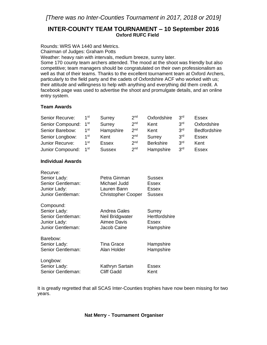## **INTER-COUNTY TEAM TOURNAMENT – 10 September 2016 Oxford RUFC Field**

Rounds: WRS WA 1440 and Metrics.

Chairman of Judges: Graham Potts

Weather: heavy rain with intervals, medium breeze, sunny later.

Some 170 county team archers attended. The mood at the shoot was friendly but also competitive; team managers should be congratulated on their own professionalism as well as that of their teams. Thanks to the excellent tournament team at Oxford Archers, particularly to the field party and the cadets of Oxfordshire ACF who worked with us; their attitude and willingness to help with anything and everything did them credit. A facebook page was used to advertise the shoot and promulgate details, and an online entry system.

## **Team Awards**

| Senior Recurve:  | 1st             | Surrey        | 2 <sub>nd</sub> | Oxfordshire      | 3 <sup>rd</sup> | <b>Essex</b> |
|------------------|-----------------|---------------|-----------------|------------------|-----------------|--------------|
| Senior Compound: | 1 <sup>st</sup> | Surrey        | 2 <sub>nd</sub> | Kent             | 3 <sup>rd</sup> | Oxfordshire  |
| Senior Barebow:  | 1 <sup>st</sup> | Hampshire     | 2 <sub>nd</sub> | Kent             | 3 <sup>rd</sup> | Bedfordshire |
| Senior Longbow:  | 1 <sup>st</sup> | Kent          | 2 <sub>nd</sub> | Surrey           | 3 <sup>rd</sup> | <b>Essex</b> |
| Junior Recurve:  | 1st             | <b>Essex</b>  | 2 <sub>nd</sub> | <b>Berkshire</b> | 3 <sup>rd</sup> | Kent         |
| Junior Compound: | 1 $^{\rm st}$   | <b>Sussex</b> | 2 <sub>nd</sub> | Hampshire        | 3 <sup>rd</sup> | <b>Essex</b> |

#### **Individual Awards**

| Recurve:          |                           |               |
|-------------------|---------------------------|---------------|
| Senior Lady:      | Petra Ginman              | <b>Sussex</b> |
| Senior Gentleman: | Michael Judd              | Essex         |
| Junior Lady:      | Lauren Bann               | Essex         |
| Junior Gentleman: | <b>Christopher Cooper</b> | <b>Sussex</b> |
| Compound:         |                           |               |
| Senior Lady:      | Andrea Gales              | Surrey        |
| Senior Gentleman: | Neil Bridgwater           | Hertfordshire |
| Junior Lady:      | Aimee Davis               | Essex         |
| Junior Gentleman: | Jacob Caine               | Hampshire     |
| Barebow:          |                           |               |
| Senior Lady:      | <b>Tina Grace</b>         | Hampshire     |
| Senior Gentleman: | Alan Holder               | Hampshire     |
| Longbow:          |                           |               |
| Senior Lady:      | Kathryn Sartain           | Essex         |
| Senior Gentleman: | <b>Cliff Gadd</b>         | Kent          |
|                   |                           |               |

It is greatly regretted that all SCAS Inter-Counties trophies have now been missing for two years.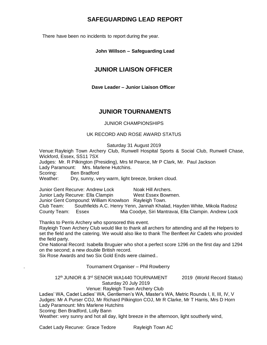# **SAFEGUARDING LEAD REPORT**

There have been no incidents to report during the year.

## **John Willson – Safeguarding Lead**

# **JUNIOR LIAISON OFFICER**

**Dave Leader – Junior Liaison Officer**

## **JUNIOR TOURNAMENTS**

## JUNIOR CHAMPIONSHIPS

## UK RECORD AND ROSE AWARD STATUS

Saturday 31 August 2019

Venue:Rayleigh Town Archery Club, Runwell Hospital Sports & Social Club, Runwell Chase, Wickford, Essex, SS11 7SX

Judges: Mr. R Pilkington (Presiding), Mrs M Pearce, Mr P Clark, Mr. Paul Jackson

Lady Paramount: Mrs. Marlene Hutchins.

Scoring: Ben Bradford

Weather: Dry, sunny, very warm, light breeze, broken cloud.

Junior Gent Recurve: Andrew Lock Noak Hill Archers. Junior Lady Recurve: Ella Clampin West Essex Bowmen. Junior Gent Compound: William Knowlson Rayleigh Town.

Club Team: Southfields A.C. Henry Yenn, Jannah Khalad, Hayden White, Mikola Radosz County Team: Essex Mia Coodye, Siri Mantravai, Ella Clampin. Andrew Lock

Thanks to Perris Archery who sponsored this event.

Rayleigh Town Archery Club would like to thank all archers for attending and all the Helpers to set the field and the catering. We would also like to thank The Benfleet Air Cadets who provided the field party.

One National Record: Isabella Bruguier who shot a perfect score 1296 on the first day and 1294 on the second; a new double British record.

Six Rose Awards and two Six Gold Ends were claimed..

. Tournament Organiser – Phil Rowberry

## 12<sup>th</sup> JUNIOR & 3<sup>rd</sup> SENIOR WA1440 TOURNAMENT 2019 (World Record Status) Saturday 20 July 2019

## Venue: Rayleigh Town Archery Club

Ladies' WA, Cadet Ladies' WA, Gentlemen's WA, Master's WA, Metric Rounds I, II, III, IV, V Judges: Mr A Purser COJ, Mr Richard Pilkington COJ, Mr R Clarke, Mr T Harris, Mrs D Horn Lady Paramount: Mrs Marlene Hutchins Scoring: Ben Bradford, Lolly Bann

Weather: very sunny and hot all day, light breeze in the afternoon, light southerly wind,

Cadet Lady Recurve: Grace Tedore Rayleigh Town AC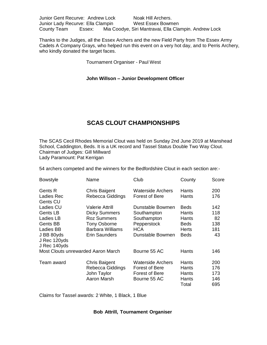| Junior Gent Recurve: Andrew Lock  |        | Noak Hill Archers.                                    |  |
|-----------------------------------|--------|-------------------------------------------------------|--|
| Junior Lady Recurve: Ella Clampin |        | West Essex Bowmen                                     |  |
| County Team                       | Essex: | Mia Coodye, Siri Mantravai, Ella Clampin. Andrew Lock |  |

Thanks to the Judges, all the Essex Archers and the new Field Party from The Essex Army Cadets A Company Grays, who helped run this event on a very hot day, and to Perris Archery, who kindly donated the target faces.

Tournament Organiser - Paul West

#### **John Willson – Junior Development Officer**

# **SCAS CLOUT CHAMPIONSHIPS**

The SCAS Cecil Rhodes Memorial Clout was held on Sunday 2nd June 2019 at Manshead School, Caddington, Beds. It is a UK record and Tassel Status Double Two Way Clout. Chairman of Judges: Gill Millward Lady Paramount: Pat Kerrigan

54 archers competed and the winners for the Bedfordshire Clout in each section are:-

| <b>Bowstyle</b> | Name                               | Club                     | County       | Score |
|-----------------|------------------------------------|--------------------------|--------------|-------|
| <b>Gents R</b>  | <b>Chris Baigent</b>               | Waterside Archers        | Hants        | 200   |
| Ladies Rec      | Rebecca Giddings                   | Forest of Bere           | Hants        | 176   |
| Gents CU        |                                    |                          |              |       |
| Ladies CU       | Valerie Attrill                    | Dunstable Bowmen         | <b>Beds</b>  | 142   |
| Gents LB        | <b>Dicky Summers</b>               | Southampton              | Hants        | 118   |
| Ladies LB       | <b>Roz Summers</b>                 | Southampton              | Hants        | 82    |
| Gents BB        | <b>Tony Osborne</b>                | Pepperstock              | <b>Beds</b>  | 138   |
| Ladies BB       | <b>Barbara Williams</b>            | <b>HCA</b>               | <b>Herts</b> | 181   |
| J BB 80yds      | Erin Saunders                      | Dunstable Bowmen         | <b>Beds</b>  | 43    |
| J Rec 120yds    |                                    |                          |              |       |
| J Rec 140yds    |                                    |                          |              |       |
|                 | Most Clouts unrewarded Aaron March | Bourne 55 AC             | Hants        | 146   |
| Team award      | <b>Chris Baigent</b>               | <b>Waterside Archers</b> | Hants        | 200   |
|                 | Rebecca Giddings                   | Forest of Bere           | Hants        | 176   |
|                 | John Taylor                        | Forest of Bere           | Hants        | 173   |
|                 | Aaron Marsh                        | Bourne 55 AC             | Hants        | 146   |
|                 |                                    |                          | Total        | 695   |

Claims for Tassel awards: 2 White, 1 Black, 1 Blue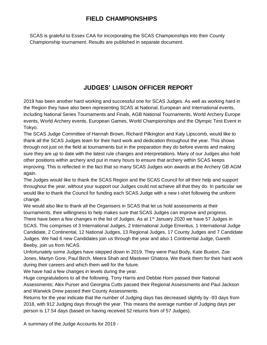# **FIELD CHAMPIONSHIPS**

SCAS is grateful to Essex CAA for incorporating the SCAS Championships into their County Championship tournament. Results are published in separate document.

# **JUDGES' LIAISON OFFICER REPORT**

2019 has been another hard working and successful one for SCAS Judges. As well as working hard in the Region they have also been representing SCAS at National, European and International events, including National Series Tournaments and Finals, AGB National Tournaments, World Archery Europe events, World Archery events, European Games, World Championships and the Olympic Test Event in Tokyo.

The SCAS Judge Committee of Hannah Brown, Richard Pilkington and Katy Lipscomb, would like to thank all the SCAS Judges team for their hard work and dedication throughout the year. This shows through not just on the field at tournaments but in the preparation they do before events and making sure they are up to date with the latest rule changes and interpretations. Many of our Judges also hold other positions within archery and put in many hours to ensure that archery within SCAS keeps improving. This is reflected in the fact that so many SCAS Judges won awards at the Archery GB AGM again.

The Judges would like to thank the SCAS Region and the SCAS Council for all their help and support throughout the year, without your support our Judges could not achieve all that they do. In particular we would like to thank the Council for funding each SCAS Judge with a new t-shirt following the uniform change.

We would also like to thank all the Organisers in SCAS that let us hold assessments at their tournaments, their willingness to help makes sure that SCAS Judges can improve and progress. There have been a few changes in the list of Judges. As at  $1<sup>st</sup>$  January 2020 we have 57 Judges in SCAS. This comprises of 3 International Judges, 2 International Judge Emeritus, 1 International Judge Candidate, 2 Continental, 12 National Judges, 13 Regional Judges, 17 County Judges and 7 Candidate Judges. We had 6 new Candidates join us through the year and also 1 Continental Judge, Gareth Beeby, join us from NCAS.

Unfortunately some Judges have stepped down in 2019. They were Paul Body, Kate Buxton, Zoe Jones, Martyn Gore, Paul Birch, Meera Shah and Mastveer Ghatora. We thank them for their hard work during their careers and which them well for the future.

We have had a few changes in levels during the year.

Huge congratulations to all the following. Tony Harris and Debbie Horn passed their National Assessments; Alex Purser and Georgina Cutts passed their Regional Assessments and Paul Jackson and Warwick Drew passed their County Assessments.

Returns for the year indicate that the number of Judging days has decreased slightly by -93 days from 2018, with 912 Judging days through the year. This means the average number of Judging days per person is 17.54 days (based on having received 52 returns from of 57 Judges).

A summary of the Judge Accounts for 2019 -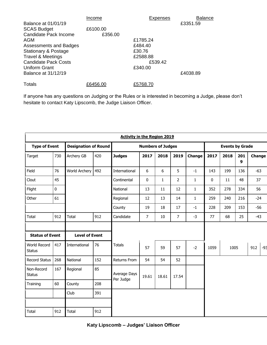|                                 | Income   | Expenses | <b>Balance</b> |
|---------------------------------|----------|----------|----------------|
| Balance at 01/01/19             |          |          | £3351.59       |
| <b>SCAS Budget</b>              | £6100.00 |          |                |
| Candidate Pack Income           | £356.00  |          |                |
| AGM                             |          | £1785.24 |                |
| Assessments and Badges          |          | £484.40  |                |
| <b>Stationary &amp; Postage</b> |          | £30.76   |                |
| <b>Travel &amp; Meetings</b>    |          | £2588.88 |                |
| <b>Candidate Pack Costs</b>     |          | £539.42  |                |
| Uniform Grant                   |          | £340.00  |                |
| Balance at 31/12/19             |          |          | £4038.89       |
| Totals                          | £6456.00 | £5768.70 |                |

If anyone has any questions on Judging or the Rules or is interested in becoming a Judge, please don't hesitate to contact Katy Lipscomb, the Judge Liaison Officer.

|                               | <b>Activity in the Region 2019</b> |                             |     |                           |                          |              |                |              |             |                        |          |        |       |
|-------------------------------|------------------------------------|-----------------------------|-----|---------------------------|--------------------------|--------------|----------------|--------------|-------------|------------------------|----------|--------|-------|
| <b>Type of Event</b>          |                                    | <b>Designation of Round</b> |     |                           | <b>Numbers of Judges</b> |              |                |              |             | <b>Events by Grade</b> |          |        |       |
| Target                        | 730                                | Archery GB                  | 420 | <b>Judges</b>             | 2017                     | 2018         | 2019           | Change       | 2017        | 2018                   | 201<br>9 | Change |       |
| Field                         | 76                                 | World Archery               | 492 | International             | 6                        | 6            | 5              | $-1$         | 143         | 199                    | 136      | $-63$  |       |
| Clout                         | 45                                 |                             |     | Continental               | $\pmb{0}$                | $\mathbf{1}$ | $\overline{2}$ | 1            | $\mathbf 0$ | 11                     | 48       | 37     |       |
| Flight                        | $\mathbf 0$                        |                             |     | National                  | 13                       | 11           | 12             | $\mathbf{1}$ | 352         | 278                    | 334      | 56     |       |
| Other                         | 61                                 |                             |     | Regional                  | 12                       | 13           | 14             | $\mathbf{1}$ | 259         | 240                    | 216      | $-24$  |       |
|                               |                                    |                             |     | County                    | 19                       | 18           | 17             | $-1$         | 228         | 209                    | 153      | $-56$  |       |
| Total                         | 912                                | Total                       | 912 | Candidate                 | $\overline{7}$           | 10           | $\overline{7}$ | $-3$         | 77          | 68                     | 25       | $-43$  |       |
|                               |                                    |                             |     |                           |                          |              |                |              |             |                        |          |        |       |
| <b>Status of Event</b>        |                                    | <b>Level of Event</b>       |     |                           |                          |              |                |              |             |                        |          |        |       |
| World Record<br><b>Status</b> | 417                                | International               | 76  | <b>Totals</b>             | 57                       | 59           | 57             | $-2$         | 1059        | 1005                   |          | 912    | $-93$ |
| <b>Record Status</b>          | 268                                | National                    | 152 | <b>Returns From</b>       | 54                       | 54           | 52             |              |             |                        |          |        |       |
| Non-Record<br><b>Status</b>   | 167                                | Regional                    | 85  | Average Days<br>Per Judge | 19.61                    | 18.61        | 17.54          |              |             |                        |          |        |       |
| Training                      | 60                                 | County                      | 208 |                           |                          |              |                |              |             |                        |          |        |       |
|                               |                                    | Club                        | 391 |                           |                          |              |                |              |             |                        |          |        |       |
|                               |                                    |                             |     |                           |                          |              |                |              |             |                        |          |        |       |
| Total                         | 912                                | Total                       | 912 |                           |                          |              |                |              |             |                        |          |        |       |